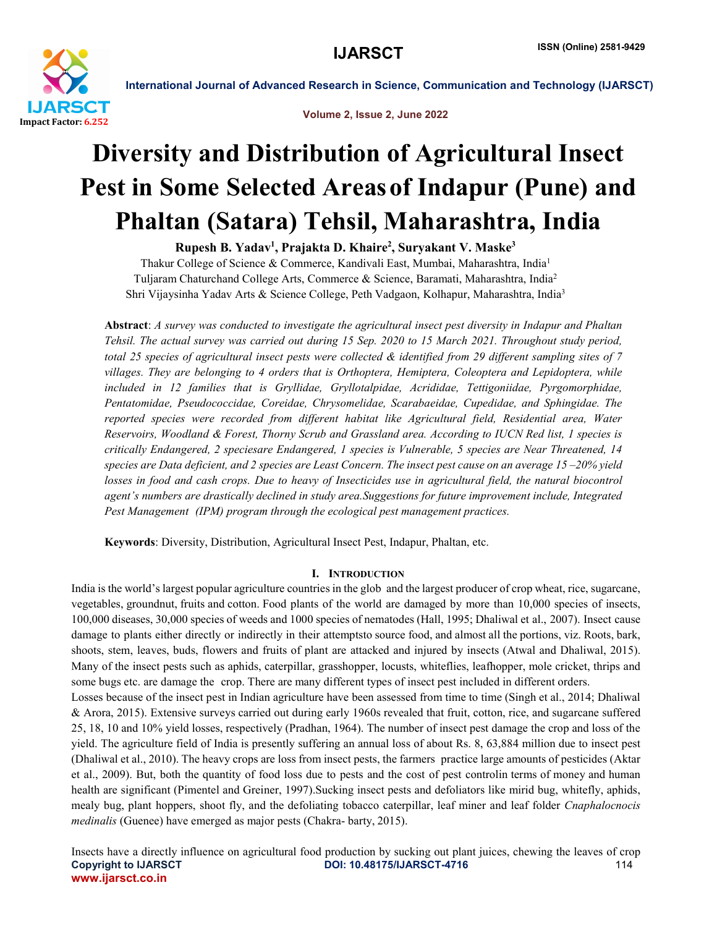

Volume 2, Issue 2, June 2022

# Diversity and Distribution of Agricultural Insect Pest in Some Selected Areasof Indapur (Pune) and Phaltan (Satara) Tehsil, Maharashtra, India

Rupesh B. Yadav<sup>1</sup>, Prajakta D. Khaire<sup>2</sup>, Suryakant V. Maske<sup>3</sup>

Thakur College of Science & Commerce, Kandivali East, Mumbai, Maharashtra, India1 Tuljaram Chaturchand College Arts, Commerce & Science, Baramati, Maharashtra, India2 Shri Vijaysinha Yadav Arts & Science College, Peth Vadgaon, Kolhapur, Maharashtra, India3

Abstract: *A survey was conducted to investigate the agricultural insect pest diversity in Indapur and Phaltan Tehsil. The actual survey was carried out during 15 Sep. 2020 to 15 March 2021. Throughout study period, total 25 species of agricultural insect pests were collected & identified from 29 different sampling sites of 7 villages. They are belonging to 4 orders that is Orthoptera, Hemiptera, Coleoptera and Lepidoptera, while included in 12 families that is Gryllidae, Gryllotalpidae, Acrididae, Tettigoniidae, Pyrgomorphidae, Pentatomidae, Pseudococcidae, Coreidae, Chrysomelidae, Scarabaeidae, Cupedidae, and Sphingidae. The reported species were recorded from different habitat like Agricultural field, Residential area, Water Reservoirs, Woodland & Forest, Thorny Scrub and Grassland area. According to IUCN Red list, 1 species is critically Endangered, 2 speciesare Endangered, 1 species is Vulnerable, 5 species are Near Threatened, 14 species are Data deficient, and 2 species are Least Concern. The insect pest cause on an average 15 –20% yield losses in food and cash crops. Due to heavy of Insecticides use in agricultural field, the natural biocontrol agent's numbers are drastically declined in study area.Suggestions for future improvement include, Integrated Pest Management (IPM) program through the ecological pest management practices.* 

Keywords: Diversity, Distribution, Agricultural Insect Pest, Indapur, Phaltan, etc.

# I. INTRODUCTION

India is the world's largest popular agriculture countries in the glob and the largest producer of crop wheat, rice, sugarcane, vegetables, groundnut, fruits and cotton. Food plants of the world are damaged by more than 10,000 species of insects, 100,000 diseases, 30,000 species of weeds and 1000 species of nematodes (Hall, 1995; Dhaliwal et al., 2007). Insect cause damage to plants either directly or indirectly in their attemptsto source food, and almost all the portions, viz. Roots, bark, shoots, stem, leaves, buds, flowers and fruits of plant are attacked and injured by insects (Atwal and Dhaliwal, 2015). Many of the insect pests such as aphids, caterpillar, grasshopper, locusts, whiteflies, leafhopper, mole cricket, thrips and some bugs etc. are damage the crop. There are many different types of insect pest included in different orders.

Losses because of the insect pest in Indian agriculture have been assessed from time to time (Singh et al., 2014; Dhaliwal & Arora, 2015). Extensive surveys carried out during early 1960s revealed that fruit, cotton, rice, and sugarcane suffered 25, 18, 10 and 10% yield losses, respectively (Pradhan, 1964). The number of insect pest damage the crop and loss of the yield. The agriculture field of India is presently suffering an annual loss of about Rs. 8, 63,884 million due to insect pest (Dhaliwal et al., 2010). The heavy crops are loss from insect pests, the farmers practice large amounts of pesticides (Aktar et al., 2009). But, both the quantity of food loss due to pests and the cost of pest controlin terms of money and human health are significant (Pimentel and Greiner, 1997).Sucking insect pests and defoliators like mirid bug, whitefly, aphids, mealy bug, plant hoppers, shoot fly, and the defoliating tobacco caterpillar, leaf miner and leaf folder *Cnaphalocnocis medinalis* (Guenee) have emerged as major pests (Chakra- barty, 2015).

Copyright to IJARSCT **DOI: 10.48175/IJARSCT-4716** 114 www.ijarsct.co.in Insects have a directly influence on agricultural food production by sucking out plant juices, chewing the leaves of crop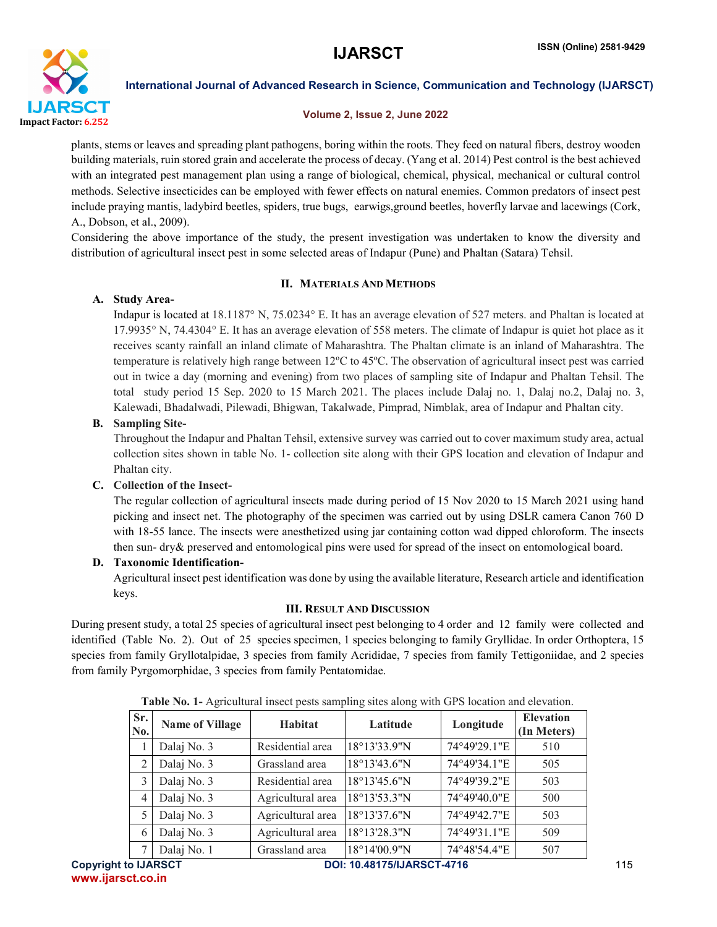

#### Volume 2, Issue 2, June 2022

plants, stems or leaves and spreading plant pathogens, boring within the roots. They feed on natural fibers, destroy wooden building materials, ruin stored grain and accelerate the process of decay. (Yang et al. 2014) Pest control is the best achieved with an integrated pest management plan using a range of biological, chemical, physical, mechanical or cultural control methods. Selective insecticides can be employed with fewer effects on natural enemies. Common predators of insect pest include praying mantis, ladybird beetles, spiders, true bugs, earwigs,ground beetles, hoverfly larvae and lacewings (Cork, A., Dobson, et al., 2009).

Considering the above importance of the study, the present investigation was undertaken to know the diversity and distribution of agricultural insect pest in some selected areas of Indapur (Pune) and Phaltan (Satara) Tehsil.

#### II. MATERIALS AND METHODS

#### A. Study Area-

Indapur is located at 18.1187° N, 75.0234° E. It has an average elevation of 527 meters. and Phaltan is located at 17.9935° N, 74.4304° E. It has an average elevation of 558 meters. The climate of Indapur is quiet hot place as it receives scanty rainfall an inland climate of Maharashtra. The Phaltan climate is an inland of Maharashtra. The temperature is relatively high range between 12ºC to 45ºC. The observation of agricultural insect pest was carried out in twice a day (morning and evening) from two places of sampling site of Indapur and Phaltan Tehsil. The total study period 15 Sep. 2020 to 15 March 2021. The places include Dalaj no. 1, Dalaj no.2, Dalaj no. 3, Kalewadi, Bhadalwadi, Pilewadi, Bhigwan, Takalwade, Pimprad, Nimblak, area of Indapur and Phaltan city.

#### B. Sampling Site-

Throughout the Indapur and Phaltan Tehsil, extensive survey was carried out to cover maximum study area, actual collection sites shown in table No. 1- collection site along with their GPS location and elevation of Indapur and Phaltan city.

#### C. Collection of the Insect-

The regular collection of agricultural insects made during period of 15 Nov 2020 to 15 March 2021 using hand picking and insect net. The photography of the specimen was carried out by using DSLR camera Canon 760 D with 18-55 lance. The insects were anesthetized using jar containing cotton wad dipped chloroform. The insects then sun- dry& preserved and entomological pins were used for spread of the insect on entomological board.

#### D. Taxonomic Identification-

Agricultural insect pest identification was done by using the available literature, Research article and identification keys.

#### III. RESULT AND DISCUSSION

During present study, a total 25 species of agricultural insect pest belonging to 4 order and 12 family were collected and identified (Table No. 2). Out of 25 species specimen, 1 species belonging to family Gryllidae. In order Orthoptera, 15 species from family Gryllotalpidae, 3 species from family Acrididae, 7 species from family Tettigoniidae, and 2 species from family Pyrgomorphidae, 3 species from family Pentatomidae.

|            | <b>Table TO.</b> I-Tighvanural mover posts sampling sites along with OI S location and cicyation. |                   |              |              |                                 |
|------------|---------------------------------------------------------------------------------------------------|-------------------|--------------|--------------|---------------------------------|
| Sr.<br>No. | <b>Name of Village</b>                                                                            | <b>Habitat</b>    | Latitude     | Longitude    | <b>Elevation</b><br>(In Meters) |
|            | Dalaj No. 3                                                                                       | Residential area  | 18°13'33.9"N | 74°49'29.1"E | 510                             |
| 2          | Dalaj No. 3                                                                                       | Grassland area    | 18°13'43.6"N | 74°49'34.1"E | 505                             |
| 3          | Dalaj No. 3                                                                                       | Residential area  | 18°13'45.6"N | 74°49'39.2"E | 503                             |
| 4          | Dalaj No. 3                                                                                       | Agricultural area | 18°13'53.3"N | 74°49'40.0"E | 500                             |
|            | Dalaj No. 3                                                                                       | Agricultural area | 18°13'37.6"N | 74°49'42.7"E | 503                             |
| 6          | Dalaj No. 3                                                                                       | Agricultural area | 18°13'28.3"N | 74°49'31.1"E | 509                             |
|            | Dalaj No. 1                                                                                       | Grassland area    | 18°14'00.9"N | 74°48'54.4"E | 507                             |

|  |  | Table No. 1- Agricultural insect pests sampling sites along with GPS location and elevation. |
|--|--|----------------------------------------------------------------------------------------------|
|--|--|----------------------------------------------------------------------------------------------|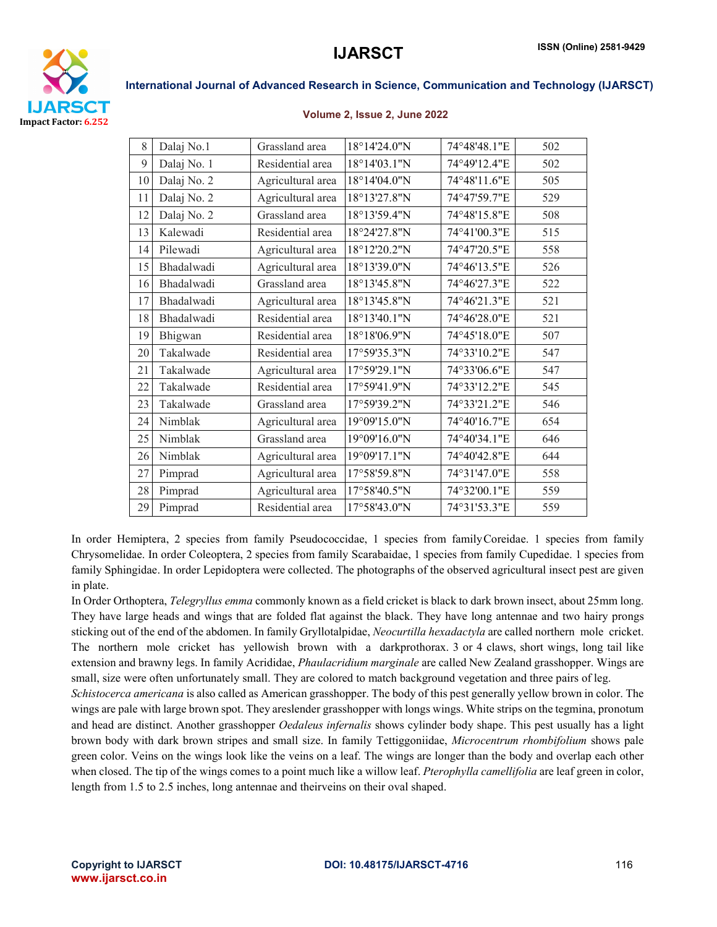

#### Volume 2, Issue 2, June 2022

| 8  | Dalaj No.1  | Grassland area    | 18°14'24.0"N | 74°48'48.1"E | 502 |
|----|-------------|-------------------|--------------|--------------|-----|
| 9  | Dalaj No. 1 | Residential area  | 18°14'03.1"N | 74°49'12.4"E | 502 |
| 10 | Dalaj No. 2 | Agricultural area | 18°14'04.0"N | 74°48'11.6"E | 505 |
| 11 | Dalaj No. 2 | Agricultural area | 18°13'27.8"N | 74°47'59.7"E | 529 |
| 12 | Dalaj No. 2 | Grassland area    | 18°13'59.4"N | 74°48'15.8"E | 508 |
| 13 | Kalewadi    | Residential area  | 18°24'27.8"N | 74°41'00.3"E | 515 |
| 14 | Pilewadi    | Agricultural area | 18°12'20.2"N | 74°47'20.5"E | 558 |
| 15 | Bhadalwadi  | Agricultural area | 18°13'39.0"N | 74°46'13.5"E | 526 |
| 16 | Bhadalwadi  | Grassland area    | 18°13'45.8"N | 74°46'27.3"E | 522 |
| 17 | Bhadalwadi  | Agricultural area | 18°13'45.8"N | 74°46'21.3"E | 521 |
| 18 | Bhadalwadi  | Residential area  | 18°13'40.1"N | 74°46'28.0"E | 521 |
| 19 | Bhigwan     | Residential area  | 18°18'06.9"N | 74°45'18.0"E | 507 |
| 20 | Takalwade   | Residential area  | 17°59'35.3"N | 74°33'10.2"E | 547 |
| 21 | Takalwade   | Agricultural area | 17°59'29.1"N | 74°33'06.6"E | 547 |
| 22 | Takalwade   | Residential area  | 17°59'41.9"N | 74°33'12.2"E | 545 |
| 23 | Takalwade   | Grassland area    | 17°59'39.2"N | 74°33'21.2"E | 546 |
| 24 | Nimblak     | Agricultural area | 19°09'15.0"N | 74°40'16.7"E | 654 |
| 25 | Nimblak     | Grassland area    | 19°09'16.0"N | 74°40'34.1"E | 646 |
| 26 | Nimblak     | Agricultural area | 19°09'17.1"N | 74°40'42.8"E | 644 |
| 27 | Pimprad     | Agricultural area | 17°58'59.8"N | 74°31'47.0"E | 558 |
| 28 | Pimprad     | Agricultural area | 17°58'40.5"N | 74°32'00.1"E | 559 |
| 29 | Pimprad     | Residential area  | 17°58'43.0"N | 74°31'53.3"E | 559 |
|    |             |                   |              |              |     |

In order Hemiptera, 2 species from family Pseudococcidae, 1 species from family Coreidae. 1 species from family Chrysomelidae. In order Coleoptera, 2 species from family Scarabaidae, 1 species from family Cupedidae. 1 species from family Sphingidae. In order Lepidoptera were collected. The photographs of the observed agricultural insect pest are given in plate.

In Order Orthoptera, *Telegryllus emma* commonly known as a field cricket is black to dark brown insect, about 25mm long. They have large heads and wings that are folded flat against the black. They have long antennae and two hairy prongs sticking out of the end of the abdomen. In family Gryllotalpidae, *Neocurtilla hexadactyla* are called northern mole cricket. The northern mole cricket has yellowish brown with a darkprothorax. 3 or 4 claws, short wings, long tail like extension and brawny legs. In family Acrididae, *Phaulacridium marginale* are called New Zealand grasshopper. Wings are small, size were often unfortunately small. They are colored to match background vegetation and three pairs of leg.

*Schistocerca americana* is also called as American grasshopper. The body of this pest generally yellow brown in color. The wings are pale with large brown spot. They areslender grasshopper with longs wings. White strips on the tegmina, pronotum and head are distinct. Another grasshopper *Oedaleus infernalis* shows cylinder body shape. This pest usually has a light brown body with dark brown stripes and small size. In family Tettiggoniidae, *Microcentrum rhombifolium* shows pale green color. Veins on the wings look like the veins on a leaf. The wings are longer than the body and overlap each other when closed. The tip of the wings comes to a point much like a willow leaf. *Pterophylla camellifolia* are leaf green in color, length from 1.5 to 2.5 inches, long antennae and theirveins on their oval shaped.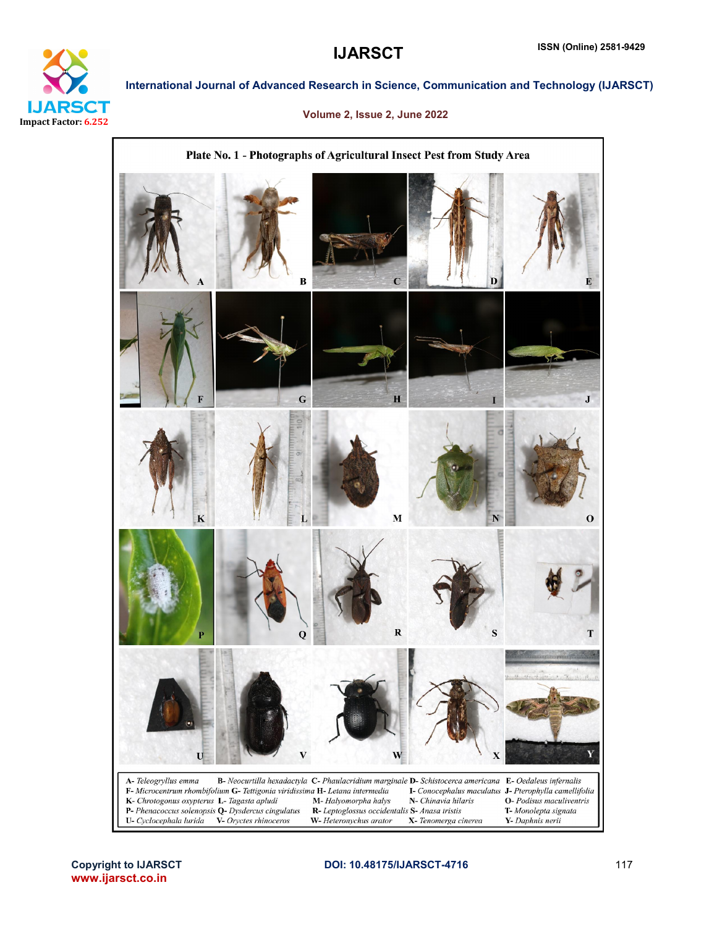

#### Volume 2, Issue 2, June 2022

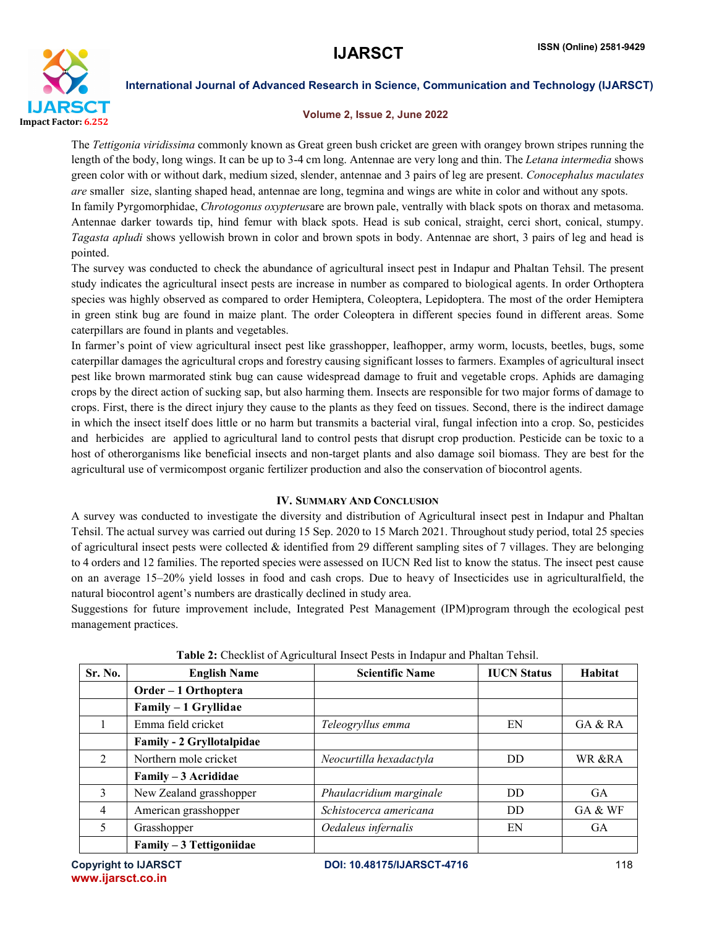

#### Volume 2, Issue 2, June 2022

The *Tettigonia viridissima* commonly known as Great green bush cricket are green with orangey brown stripes running the length of the body, long wings. It can be up to 3-4 cm long. Antennae are very long and thin. The *Letana intermedia* shows green color with or without dark, medium sized, slender, antennae and 3 pairs of leg are present. *Conocephalus maculates are* smaller size, slanting shaped head, antennae are long, tegmina and wings are white in color and without any spots. In family Pyrgomorphidae, *Chrotogonus oxypterus*are are brown pale, ventrally with black spots on thorax and metasoma. Antennae darker towards tip, hind femur with black spots. Head is sub conical, straight, cerci short, conical, stumpy. *Tagasta apludi* shows yellowish brown in color and brown spots in body. Antennae are short, 3 pairs of leg and head is pointed.

The survey was conducted to check the abundance of agricultural insect pest in Indapur and Phaltan Tehsil. The present study indicates the agricultural insect pests are increase in number as compared to biological agents. In order Orthoptera species was highly observed as compared to order Hemiptera, Coleoptera, Lepidoptera. The most of the order Hemiptera in green stink bug are found in maize plant. The order Coleoptera in different species found in different areas. Some caterpillars are found in plants and vegetables.

In farmer's point of view agricultural insect pest like grasshopper, leafhopper, army worm, locusts, beetles, bugs, some caterpillar damages the agricultural crops and forestry causing significant losses to farmers. Examples of agricultural insect pest like brown marmorated stink bug can cause widespread damage to fruit and vegetable crops. Aphids are damaging crops by the direct action of sucking sap, but also harming them. Insects are responsible for two major forms of damage to crops. First, there is the direct injury they cause to the plants as they feed on tissues. Second, there is the indirect damage in which the insect itself does little or no harm but transmits a bacterial viral, fungal infection into a crop. So, pesticides and herbicides are applied to agricultural land to control pests that disrupt crop production. Pesticide can be toxic to a host of otherorganisms like beneficial insects and non-target plants and also damage soil biomass. They are best for the agricultural use of vermicompost organic fertilizer production and also the conservation of biocontrol agents.

### IV. SUMMARY AND CONCLUSION

A survey was conducted to investigate the diversity and distribution of Agricultural insect pest in Indapur and Phaltan Tehsil. The actual survey was carried out during 15 Sep. 2020 to 15 March 2021. Throughout study period, total 25 species of agricultural insect pests were collected  $\&$  identified from 29 different sampling sites of 7 villages. They are belonging to 4 orders and 12 families. The reported species were assessed on IUCN Red list to know the status. The insect pest cause on an average 15–20% yield losses in food and cash crops. Due to heavy of Insecticides use in agriculturalfield, the natural biocontrol agent's numbers are drastically declined in study area.

Suggestions for future improvement include, Integrated Pest Management (IPM)program through the ecological pest management practices.

| Sr. No.        | <b>English Name</b>       | <b>Scientific Name</b>  | <b>IUCN</b> Status | Habitat   |
|----------------|---------------------------|-------------------------|--------------------|-----------|
|                | Order - 1 Orthoptera      |                         |                    |           |
|                | Family - 1 Gryllidae      |                         |                    |           |
|                | Emma field cricket        | Teleogryllus emma       | EN                 | GA & RA   |
|                | Family - 2 Gryllotalpidae |                         |                    |           |
| $\mathcal{D}$  | Northern mole cricket     | Neocurtilla hexadactyla | DD.                | WR &RA    |
|                | Family - 3 Acrididae      |                         |                    |           |
| 3              | New Zealand grasshopper   | Phaulacridium marginale | DD.                | <b>GA</b> |
| $\overline{4}$ | American grasshopper      | Schistocerca americana  | DD.                | GA & WF   |
| 5              | Grasshopper               | Oedaleus infernalis     | EN                 | <b>GA</b> |
|                | Family - 3 Tettigoniidae  |                         |                    |           |

Table 2: Checklist of Agricultural Insect Pests in Indapur and Phaltan Tehsil.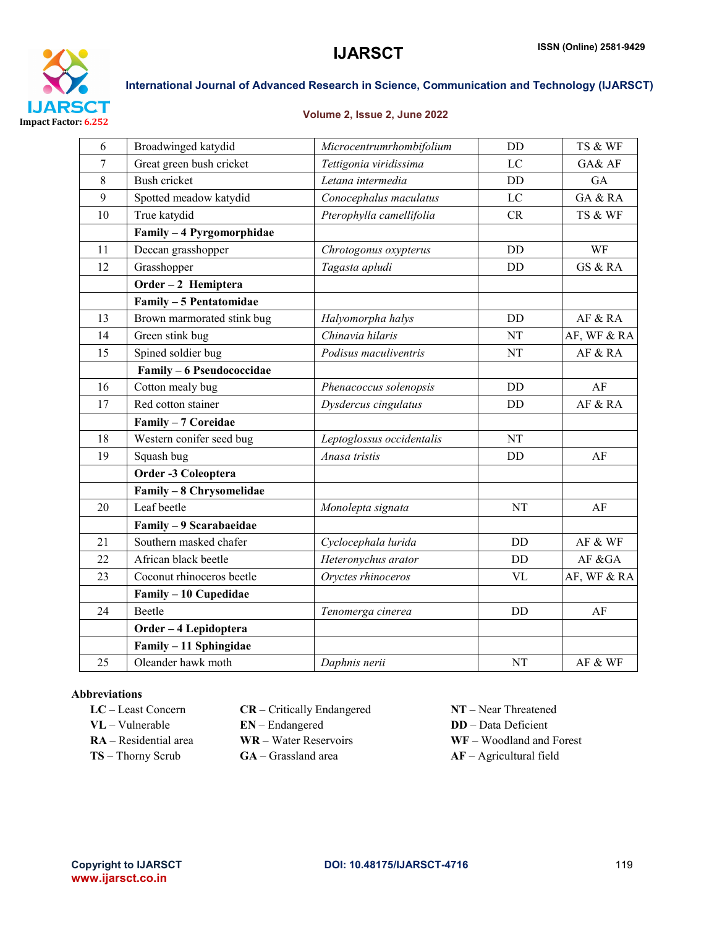

#### Volume 2, Issue 2, June 2022

| 6  | Broadwinged katydid        | Microcentrumrhombifolium  | <b>DD</b> | TS & WF     |
|----|----------------------------|---------------------------|-----------|-------------|
| 7  | Great green bush cricket   | Tettigonia viridissima    | LC        | GA& AF      |
| 8  | <b>Bush cricket</b>        | Letana intermedia         | DD        | GA          |
| 9  | Spotted meadow katydid     | Conocephalus maculatus    | LC        | GA & RA     |
| 10 | True katydid               | Pterophylla camellifolia  | CR        | TS & WF     |
|    | Family - 4 Pyrgomorphidae  |                           |           |             |
| 11 | Deccan grasshopper         | Chrotogonus oxypterus     | <b>DD</b> | WF          |
| 12 | Grasshopper                | Tagasta apludi            | DD        | GS & RA     |
|    | Order - 2 Hemiptera        |                           |           |             |
|    | Family - 5 Pentatomidae    |                           |           |             |
| 13 | Brown marmorated stink bug | Halyomorpha halys         | <b>DD</b> | AF & RA     |
| 14 | Green stink bug            | Chinavia hilaris          | NT        | AF, WF & RA |
| 15 | Spined soldier bug         | Podisus maculiventris     | NT        | AF & RA     |
|    | Family - 6 Pseudococcidae  |                           |           |             |
| 16 | Cotton mealy bug           | Phenacoccus solenopsis    | DD        | AF          |
| 17 | Red cotton stainer         | Dysdercus cingulatus      | <b>DD</b> | AF & RA     |
|    | Family - 7 Coreidae        |                           |           |             |
| 18 | Western conifer seed bug   | Leptoglossus occidentalis | NT        |             |
| 19 | Squash bug                 | Anasa tristis             | DD        | AF          |
|    | Order -3 Coleoptera        |                           |           |             |
|    | Family - 8 Chrysomelidae   |                           |           |             |
| 20 | Leaf beetle                | Monolepta signata         | NT        | AF          |
|    | Family - 9 Scarabaeidae    |                           |           |             |
| 21 | Southern masked chafer     | Cyclocephala lurida       | DD        | AF & WF     |
| 22 | African black beetle       | Heteronychus arator       | DD        | AF &GA      |
| 23 | Coconut rhinoceros beetle  | Oryctes rhinoceros        | <b>VL</b> | AF, WF & RA |
|    | Family - 10 Cupedidae      |                           |           |             |
| 24 | Beetle                     | Tenomerga cinerea         | <b>DD</b> | AF          |
|    | Order - 4 Lepidoptera      |                           |           |             |
|    | Family - 11 Sphingidae     |                           |           |             |
| 25 | Oleander hawk moth         | Daphnis nerii             | <b>NT</b> | AF & WF     |

### Abbreviations

| $LC - Least Concern$       | $CR - Critically$ Endangered |
|----------------------------|------------------------------|
| $\mathbf{VL}$ – Vulnerable | $EN - Endanged$              |
| $RA - Residental area$     | WR – Water Reservoirs        |
| $TS - Thorny$ Scrub        | $GA - Grassland area$        |

- NT Near Threatened
- DD Data Deficient
- WF Woodland and Forest
- $AF Agricultural field$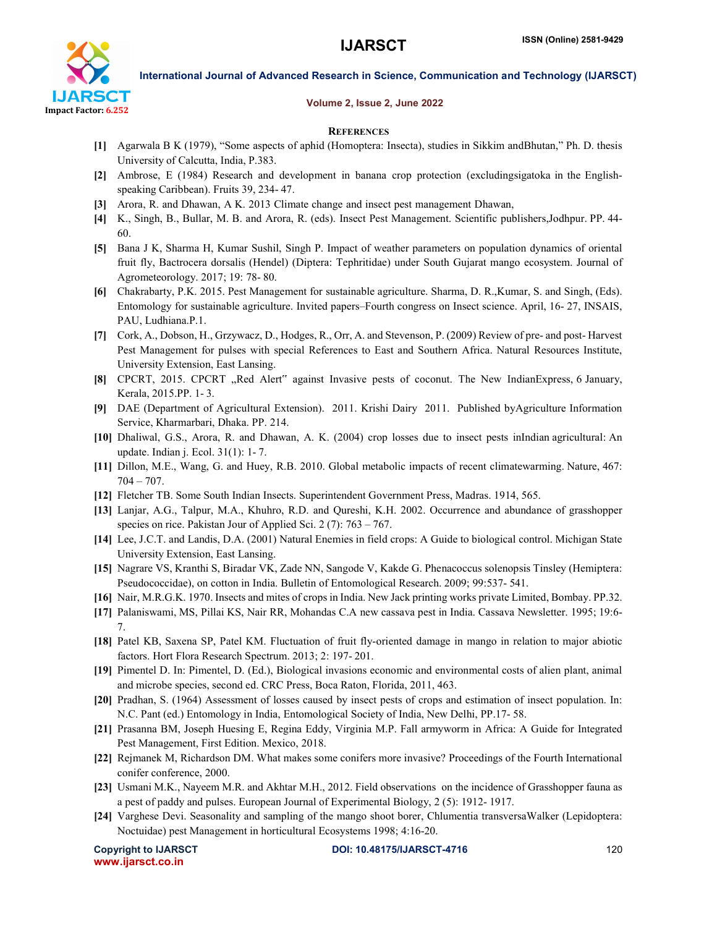

#### Volume 2, Issue 2, June 2022

#### **REFERENCES**

- [1] Agarwala B K (1979), "Some aspects of aphid (Homoptera: Insecta), studies in Sikkim andBhutan," Ph. D. thesis University of Calcutta, India, P.383.
- [2] Ambrose, E (1984) Research and development in banana crop protection (excludingsigatoka in the Englishspeaking Caribbean). Fruits 39, 234- 47.
- [3] Arora, R. and Dhawan, A K. 2013 Climate change and insect pest management Dhawan,
- [4] K., Singh, B., Bullar, M. B. and Arora, R. (eds). Insect Pest Management. Scientific publishers,Jodhpur. PP. 44- 60.
- [5] Bana J K, Sharma H, Kumar Sushil, Singh P. Impact of weather parameters on population dynamics of oriental fruit fly, Bactrocera dorsalis (Hendel) (Diptera: Tephritidae) under South Gujarat mango ecosystem. Journal of Agrometeorology. 2017; 19: 78- 80.
- [6] Chakrabarty, P.K. 2015. Pest Management for sustainable agriculture. Sharma, D. R.,Kumar, S. and Singh, (Eds). Entomology for sustainable agriculture. Invited papers–Fourth congress on Insect science. April, 16- 27, INSAIS, PAU, Ludhiana.P.1.
- [7] Cork, A., Dobson, H., Grzywacz, D., Hodges, R., Orr, A. and Stevenson, P. (2009) Review of pre- and post- Harvest Pest Management for pulses with special References to East and Southern Africa. Natural Resources Institute, University Extension, East Lansing.
- [8] CPCRT, 2015. CPCRT "Red Alert" against Invasive pests of coconut. The New IndianExpress, 6 January, Kerala, 2015.PP. 1- 3.
- [9] DAE (Department of Agricultural Extension). 2011. Krishi Dairy 2011. Published byAgriculture Information Service, Kharmarbari, Dhaka. PP. 214.
- [10] Dhaliwal, G.S., Arora, R. and Dhawan, A. K. (2004) crop losses due to insect pests inIndian agricultural: An update. Indian j. Ecol. 31(1): 1- 7.
- [11] Dillon, M.E., Wang, G. and Huey, R.B. 2010. Global metabolic impacts of recent climatewarming. Nature, 467: 704 – 707.
- [12] Fletcher TB. Some South Indian Insects. Superintendent Government Press, Madras. 1914, 565.
- [13] Lanjar, A.G., Talpur, M.A., Khuhro, R.D. and Qureshi, K.H. 2002. Occurrence and abundance of grasshopper species on rice. Pakistan Jour of Applied Sci. 2 (7): 763 – 767.
- [14] Lee, J.C.T. and Landis, D.A. (2001) Natural Enemies in field crops: A Guide to biological control. Michigan State University Extension, East Lansing.
- [15] Nagrare VS, Kranthi S, Biradar VK, Zade NN, Sangode V, Kakde G. Phenacoccus solenopsis Tinsley (Hemiptera: Pseudococcidae), on cotton in India. Bulletin of Entomological Research. 2009; 99:537- 541.
- [16] Nair, M.R.G.K. 1970. Insects and mites of crops in India. New Jack printing works private Limited, Bombay. PP.32.
- [17] Palaniswami, MS, Pillai KS, Nair RR, Mohandas C.A new cassava pest in India. Cassava Newsletter. 1995; 19:6- 7.
- [18] Patel KB, Saxena SP, Patel KM. Fluctuation of fruit fly-oriented damage in mango in relation to major abiotic factors. Hort Flora Research Spectrum. 2013; 2: 197- 201.
- [19] Pimentel D. In: Pimentel, D. (Ed.), Biological invasions economic and environmental costs of alien plant, animal and microbe species, second ed. CRC Press, Boca Raton, Florida, 2011, 463.
- [20] Pradhan, S. (1964) Assessment of losses caused by insect pests of crops and estimation of insect population. In: N.C. Pant (ed.) Entomology in India, Entomological Society of India, New Delhi, PP.17- 58.
- [21] Prasanna BM, Joseph Huesing E, Regina Eddy, Virginia M.P. Fall armyworm in Africa: A Guide for Integrated Pest Management, First Edition. Mexico, 2018.
- [22] Rejmanek M, Richardson DM. What makes some conifers more invasive? Proceedings of the Fourth International conifer conference, 2000.
- [23] Usmani M.K., Nayeem M.R. and Akhtar M.H., 2012. Field observations on the incidence of Grasshopper fauna as a pest of paddy and pulses. European Journal of Experimental Biology, 2 (5): 1912- 1917.
- [24] Varghese Devi. Seasonality and sampling of the mango shoot borer, Chlumentia transversaWalker (Lepidoptera: Noctuidae) pest Management in horticultural Ecosystems 1998; 4:16-20.